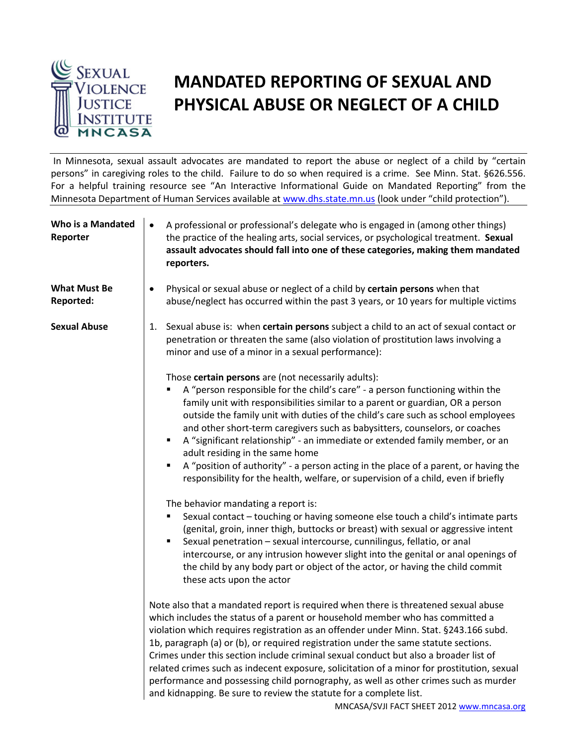

## **MANDATED REPORTING OF SEXUAL AND PHYSICAL ABUSE OR NEGLECT OF A CHILD**

In Minnesota, sexual assault advocates are mandated to report the abuse or neglect of a child by "certain persons" in caregiving roles to the child. Failure to do so when required is a crime. See Minn. Stat. §626.556. For a helpful training resource see "An Interactive Informational Guide on Mandated Reporting" from the Minnesota Department of Human Services available at [www.dhs.state.mn.us](http://www.dhs.state.mn.us/) (look under "child protection").

| Who is a Mandated<br>Reporter    | A professional or professional's delegate who is engaged in (among other things)<br>$\bullet$<br>the practice of the healing arts, social services, or psychological treatment. Sexual<br>assault advocates should fall into one of these categories, making them mandated<br>reporters.                                                                                                                                                                                                                                                                                                                                                                                                                                                              |
|----------------------------------|-------------------------------------------------------------------------------------------------------------------------------------------------------------------------------------------------------------------------------------------------------------------------------------------------------------------------------------------------------------------------------------------------------------------------------------------------------------------------------------------------------------------------------------------------------------------------------------------------------------------------------------------------------------------------------------------------------------------------------------------------------|
| <b>What Must Be</b><br>Reported: | Physical or sexual abuse or neglect of a child by certain persons when that<br>$\bullet$<br>abuse/neglect has occurred within the past 3 years, or 10 years for multiple victims                                                                                                                                                                                                                                                                                                                                                                                                                                                                                                                                                                      |
| <b>Sexual Abuse</b>              | Sexual abuse is: when certain persons subject a child to an act of sexual contact or<br>1.<br>penetration or threaten the same (also violation of prostitution laws involving a<br>minor and use of a minor in a sexual performance):                                                                                                                                                                                                                                                                                                                                                                                                                                                                                                                 |
|                                  | Those certain persons are (not necessarily adults):<br>A "person responsible for the child's care" - a person functioning within the<br>family unit with responsibilities similar to a parent or guardian, OR a person<br>outside the family unit with duties of the child's care such as school employees<br>and other short-term caregivers such as babysitters, counselors, or coaches<br>A "significant relationship" - an immediate or extended family member, or an<br>$\blacksquare$<br>adult residing in the same home<br>A "position of authority" - a person acting in the place of a parent, or having the<br>٠<br>responsibility for the health, welfare, or supervision of a child, even if briefly                                      |
|                                  | The behavior mandating a report is:<br>Sexual contact - touching or having someone else touch a child's intimate parts<br>(genital, groin, inner thigh, buttocks or breast) with sexual or aggressive intent<br>Sexual penetration - sexual intercourse, cunnilingus, fellatio, or anal<br>intercourse, or any intrusion however slight into the genital or anal openings of<br>the child by any body part or object of the actor, or having the child commit<br>these acts upon the actor                                                                                                                                                                                                                                                            |
|                                  | Note also that a mandated report is required when there is threatened sexual abuse<br>which includes the status of a parent or household member who has committed a<br>violation which requires registration as an offender under Minn. Stat. §243.166 subd.<br>1b, paragraph (a) or (b), or required registration under the same statute sections.<br>Crimes under this section include criminal sexual conduct but also a broader list of<br>related crimes such as indecent exposure, solicitation of a minor for prostitution, sexual<br>performance and possessing child pornography, as well as other crimes such as murder<br>and kidnapping. Be sure to review the statute for a complete list.<br>MNCASA/SVJI FACT SHEET 2012 www.mncasa.org |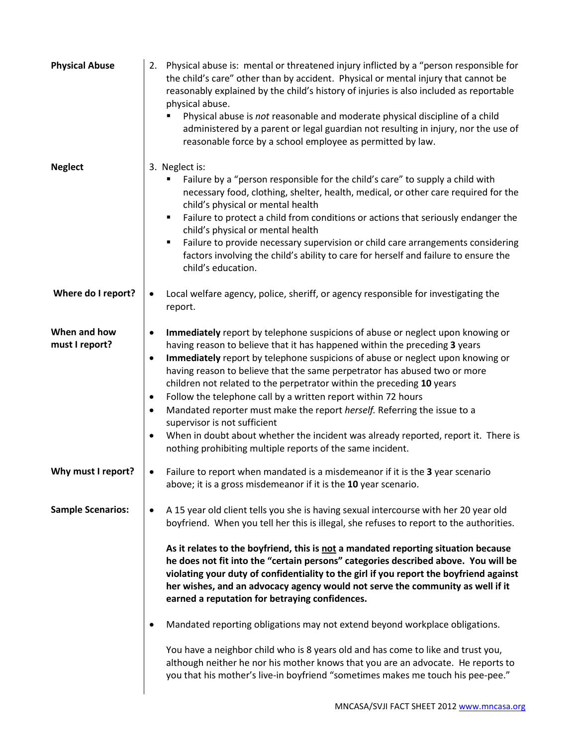| 2. Physical abuse is: mental or threatened injury inflicted by a "person responsible for<br>the child's care" other than by accident. Physical or mental injury that cannot be<br>reasonably explained by the child's history of injuries is also included as reportable<br>physical abuse.<br>Physical abuse is not reasonable and moderate physical discipline of a child<br>administered by a parent or legal guardian not resulting in injury, nor the use of<br>reasonable force by a school employee as permitted by law.                                                                                                                                                                                                                                                                                                                                                                                                                       |
|-------------------------------------------------------------------------------------------------------------------------------------------------------------------------------------------------------------------------------------------------------------------------------------------------------------------------------------------------------------------------------------------------------------------------------------------------------------------------------------------------------------------------------------------------------------------------------------------------------------------------------------------------------------------------------------------------------------------------------------------------------------------------------------------------------------------------------------------------------------------------------------------------------------------------------------------------------|
| 3. Neglect is:<br>Failure by a "person responsible for the child's care" to supply a child with<br>necessary food, clothing, shelter, health, medical, or other care required for the<br>child's physical or mental health<br>Failure to protect a child from conditions or actions that seriously endanger the<br>٠<br>child's physical or mental health<br>Failure to provide necessary supervision or child care arrangements considering<br>٠<br>factors involving the child's ability to care for herself and failure to ensure the<br>child's education.                                                                                                                                                                                                                                                                                                                                                                                        |
| Local welfare agency, police, sheriff, or agency responsible for investigating the<br>$\bullet$<br>report.                                                                                                                                                                                                                                                                                                                                                                                                                                                                                                                                                                                                                                                                                                                                                                                                                                            |
| Immediately report by telephone suspicions of abuse or neglect upon knowing or<br>٠<br>having reason to believe that it has happened within the preceding 3 years<br>Immediately report by telephone suspicions of abuse or neglect upon knowing or<br>$\bullet$<br>having reason to believe that the same perpetrator has abused two or more<br>children not related to the perpetrator within the preceding 10 years<br>Follow the telephone call by a written report within 72 hours<br>$\bullet$<br>Mandated reporter must make the report herself. Referring the issue to a<br>$\bullet$<br>supervisor is not sufficient<br>When in doubt about whether the incident was already reported, report it. There is<br>٠<br>nothing prohibiting multiple reports of the same incident.                                                                                                                                                                |
| Failure to report when mandated is a misdemeanor if it is the 3 year scenario<br>$\bullet$<br>above; it is a gross misdemeanor if it is the 10 year scenario.                                                                                                                                                                                                                                                                                                                                                                                                                                                                                                                                                                                                                                                                                                                                                                                         |
| A 15 year old client tells you she is having sexual intercourse with her 20 year old<br>٠<br>boyfriend. When you tell her this is illegal, she refuses to report to the authorities.<br>As it relates to the boyfriend, this is not a mandated reporting situation because<br>he does not fit into the "certain persons" categories described above. You will be<br>violating your duty of confidentiality to the girl if you report the boyfriend against<br>her wishes, and an advocacy agency would not serve the community as well if it<br>earned a reputation for betraying confidences.<br>Mandated reporting obligations may not extend beyond workplace obligations.<br>$\bullet$<br>You have a neighbor child who is 8 years old and has come to like and trust you,<br>although neither he nor his mother knows that you are an advocate. He reports to<br>you that his mother's live-in boyfriend "sometimes makes me touch his pee-pee." |
|                                                                                                                                                                                                                                                                                                                                                                                                                                                                                                                                                                                                                                                                                                                                                                                                                                                                                                                                                       |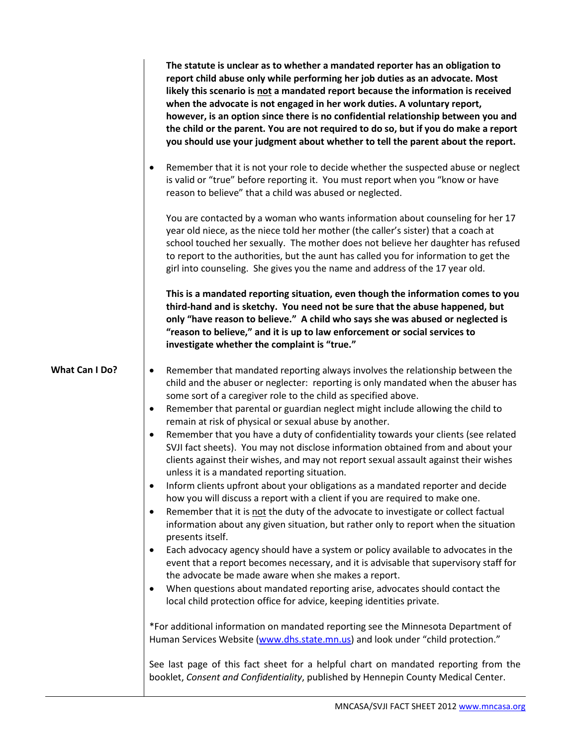|                       | The statute is unclear as to whether a mandated reporter has an obligation to<br>report child abuse only while performing her job duties as an advocate. Most<br>likely this scenario is not a mandated report because the information is received<br>when the advocate is not engaged in her work duties. A voluntary report,<br>however, is an option since there is no confidential relationship between you and<br>the child or the parent. You are not required to do so, but if you do make a report<br>you should use your judgment about whether to tell the parent about the report. |
|-----------------------|-----------------------------------------------------------------------------------------------------------------------------------------------------------------------------------------------------------------------------------------------------------------------------------------------------------------------------------------------------------------------------------------------------------------------------------------------------------------------------------------------------------------------------------------------------------------------------------------------|
|                       | Remember that it is not your role to decide whether the suspected abuse or neglect<br>$\bullet$<br>is valid or "true" before reporting it. You must report when you "know or have<br>reason to believe" that a child was abused or neglected.                                                                                                                                                                                                                                                                                                                                                 |
|                       | You are contacted by a woman who wants information about counseling for her 17<br>year old niece, as the niece told her mother (the caller's sister) that a coach at<br>school touched her sexually. The mother does not believe her daughter has refused<br>to report to the authorities, but the aunt has called you for information to get the<br>girl into counseling. She gives you the name and address of the 17 year old.                                                                                                                                                             |
|                       | This is a mandated reporting situation, even though the information comes to you<br>third-hand and is sketchy. You need not be sure that the abuse happened, but<br>only "have reason to believe." A child who says she was abused or neglected is<br>"reason to believe," and it is up to law enforcement or social services to<br>investigate whether the complaint is "true."                                                                                                                                                                                                              |
| <b>What Can I Do?</b> | Remember that mandated reporting always involves the relationship between the<br>$\bullet$<br>child and the abuser or neglecter: reporting is only mandated when the abuser has<br>some sort of a caregiver role to the child as specified above.<br>Remember that parental or guardian neglect might include allowing the child to<br>$\bullet$                                                                                                                                                                                                                                              |
|                       | remain at risk of physical or sexual abuse by another.<br>Remember that you have a duty of confidentiality towards your clients (see related<br>$\bullet$<br>SVJI fact sheets). You may not disclose information obtained from and about your<br>clients against their wishes, and may not report sexual assault against their wishes<br>unless it is a mandated reporting situation.                                                                                                                                                                                                         |
|                       | Inform clients upfront about your obligations as a mandated reporter and decide<br>how you will discuss a report with a client if you are required to make one.<br>Remember that it is not the duty of the advocate to investigate or collect factual<br>$\bullet$<br>information about any given situation, but rather only to report when the situation<br>presents itself.                                                                                                                                                                                                                 |
|                       | Each advocacy agency should have a system or policy available to advocates in the<br>$\bullet$<br>event that a report becomes necessary, and it is advisable that supervisory staff for<br>the advocate be made aware when she makes a report.                                                                                                                                                                                                                                                                                                                                                |
|                       | When questions about mandated reporting arise, advocates should contact the<br>local child protection office for advice, keeping identities private.                                                                                                                                                                                                                                                                                                                                                                                                                                          |
|                       | *For additional information on mandated reporting see the Minnesota Department of<br>Human Services Website (www.dhs.state.mn.us) and look under "child protection."                                                                                                                                                                                                                                                                                                                                                                                                                          |
|                       | See last page of this fact sheet for a helpful chart on mandated reporting from the<br>booklet, Consent and Confidentiality, published by Hennepin County Medical Center.                                                                                                                                                                                                                                                                                                                                                                                                                     |